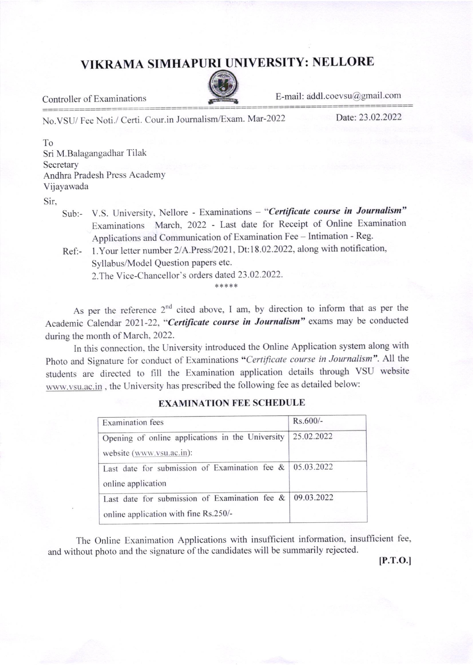## VIKRAMA SIMHAPURI UNIVERSITY: NELLORE



Controller of Examinations<br>
E-mail: addl.coevsu@gmail.com<br>
Ne VSU/Fee Neti / Certi Cour in Journalism/Fxam Mar-2022<br>
Date: 23.02.2022 No.VSU/ Fee Noti./ Certi. Cour.in Journalism/Exam. Mar-2022

To Sri M.Balagangadhar Tilak Secretary Andhra Pradesh Press Academy Vijayawada

Sir,

- Sub:- V.S. University, Nellore Examinations "Certificate course in Journalism" Examinations March, 2022 - Last date for Receipt of online Examination Applications and Communication of Examination Fee - Intimation - Reg.
- Ref:- 1.Your letter number 2/A.Press/2021, Dt:18.02.2022, along with notification, Syllabus/Model Question papers etc. 2.The Vice-Chancellor's orders dated 23.02.2022.

+\*\*\*\*

As per the reference  $2^{nd}$  cited above, I am, by direction to inform that as per the Academic Calendar 2021-22, "Certificate course in Journalism" exams may be conducted during the month of March, 2022.

In this connection, the University introduced the Online Application system along with Photo and Signature for conduct of Examinations "Certificate course in Journalism". All the students are directed to fill the Examination application details through VSU website  $\text{www. vsu.ac.in}$ , the University has prescribed the following fee as detailed below:

| <b>Examination</b> fees                                             | Rs.600/-   |
|---------------------------------------------------------------------|------------|
| Opening of online applications in the University                    | 25.02.2022 |
| website (www.vsu.ac.in):                                            |            |
| Last date for submission of Examination fee &<br>online application | 05.03.2022 |
| Last date for submission of Examination fee &                       | 09.03.2022 |
| online application with fine Rs.250/-                               |            |

## EXAMINATION FEE SCHEDULE

The Online Exanimation Applications with insufficient information, insufficient fee, and without photo and the signature of the candidates will be summarily rejected.

 $[P.T.O.]$